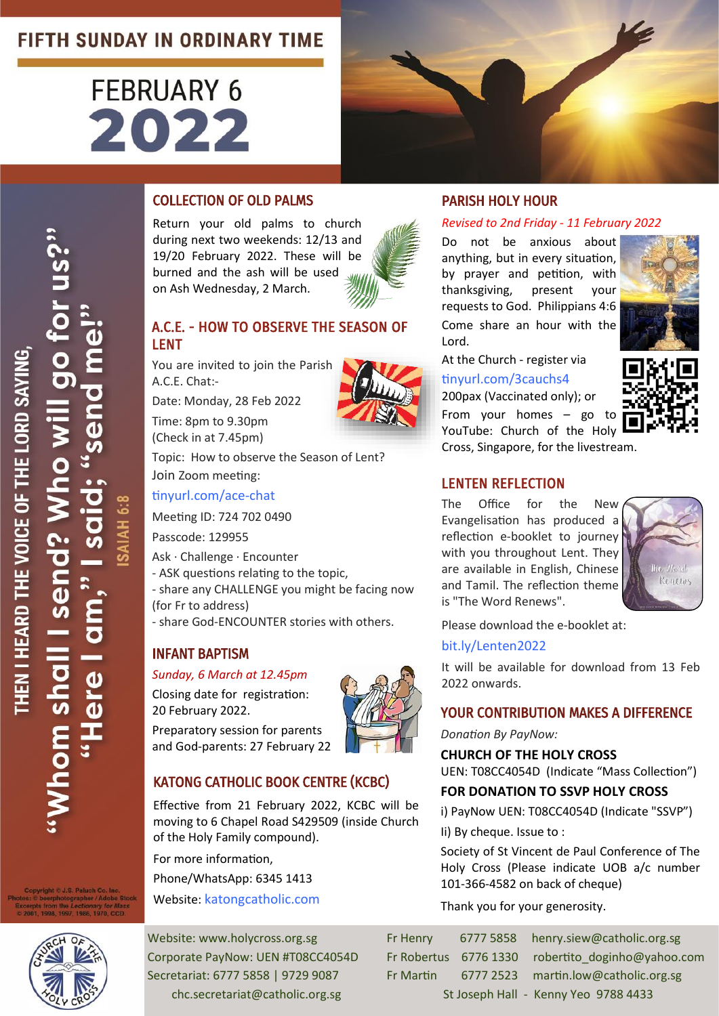# **FIFTH SUNDAY IN ORDINARY TIME**

# **FEBRUARY 6** 2022





Return your old palms to church during next two weekends: 12/13 and 19/20 February 2022. These will be burned and the ash will be used on Ash Wednesday, 2 March.

# A.C.E. - HOW TO OBSERVE THE SEASON OF LENT

You are invited to join the Parish A.C.E. Chat:-

Date: Monday, 28 Feb 2022

Time: 8pm to 9.30pm (Check in at 7.45pm)

Topic: How to observe the Season of Lent? Join Zoom meeting:

[tinyurl.com/ace](https://tinyurl.com/ace-chat)-chat

Meeting ID: 724 702 0490

Passcode: 129955

Ask · Challenge · Encounter

- ASK questions relating to the topic,

- share any CHALLENGE you might be facing now (for Fr to address)

- share God-ENCOUNTER stories with others.

# INFANT BAPTISM

#### *Sunday, 6 March at 12.45pm*

Closing date for registration: 20 February 2022.

Preparatory session for parents and God-parents: 27 February 22



# KATONG CATHOLIC BOOK CENTRE (KCBC)

Effective from 21 February 2022, KCBC will be moving to 6 Chapel Road S429509 (inside Church of the Holy Family compound).

For more information,

Phone/WhatsApp: 6345 1413

Website: [katongcatholic.com](https://katongcatholic.com)

### PARISH HOLY HOUR

#### *Revised to 2nd Friday - 11 February 2022*

Do not be anxious about anything, but in every situation, by prayer and petition, with thanksgiving, present your requests to God. Philippians 4:6 Come share an hour with the Lord.



At the Church - register via [tinyurl.com/3cauchs4](https://tinyurl.com/3cauchs4) 200pax (Vaccinated only); or

From your homes – go to YouTube: Church of the Holy Cross, Singapore, for the livestream.

# LENTEN REFLECTION

The Office for the New Evangelisation has produced a reflection e-booklet to journey with you throughout Lent. They are available in English, Chinese and Tamil. The reflection theme is "The Word Renews".



Please download the e-booklet at:

#### [bit.ly/Lenten2022](https://bit.ly/Lenten2022)

It will be available for download from 13 Feb 2022 onwards.

#### YOUR CONTRIBUTION MAKES A DIFFERENCE

*Donation By PayNow:* 

**CHURCH OF THE HOLY CROSS** 

UEN: T08CC4054D (Indicate "Mass Collection")

# **FOR DONATION TO SSVP HOLY CROSS**

i) PayNow UEN: T08CC4054D (Indicate "SSVP") Ii) By cheque. Issue to :

Society of St Vincent de Paul Conference of The Holy Cross (Please indicate UOB a/c number 101-366-4582 on back of cheque)

Thank you for your generosity.

Website: www.holycross.org.sg Fr Henry 6777 5858 henry.siew@catholic.org.sg Corporate PayNow: UEN #T08CC4054D Fr Robertus 6776 1330 robertito doginho@yahoo.com Secretariat: 6777 5858 | 9729 9087 Fr Martin 6777 2523 martin.low@catholic.org.sg chc.secretariat@catholic.org.sg St Joseph Hall - Kenny Yeo 9788 4433